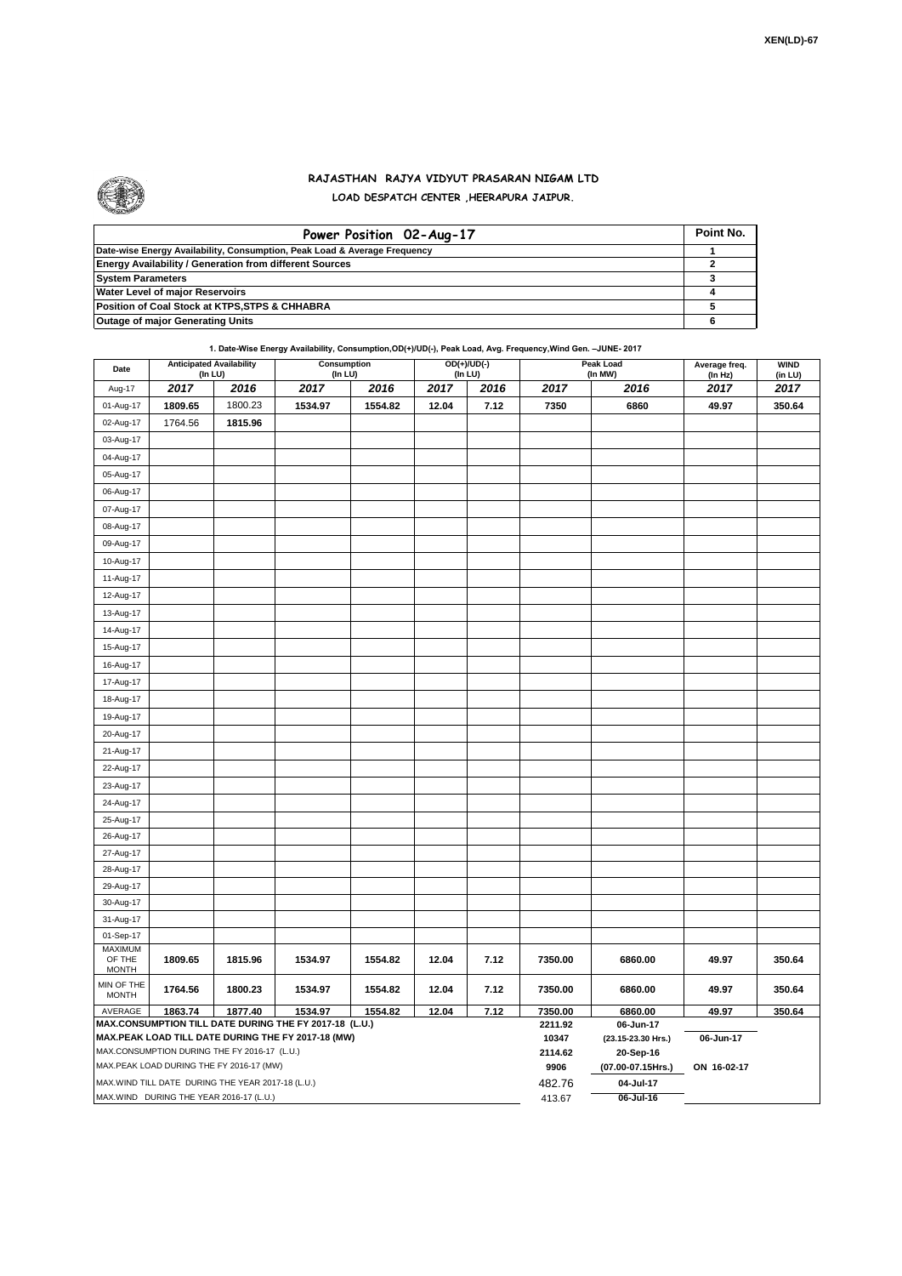

## **RAJASTHAN RAJYA VIDYUT PRASARAN NIGAM LTD LOAD DESPATCH CENTER ,HEERAPURA JAIPUR.**

| Power Position 02-Aug-17                                                  | Point No. |
|---------------------------------------------------------------------------|-----------|
| Date-wise Energy Availability, Consumption, Peak Load & Average Frequency |           |
| <b>Energy Availability / Generation from different Sources</b>            |           |
| <b>System Parameters</b>                                                  |           |
| <b>Water Level of major Reservoirs</b>                                    |           |
| Position of Coal Stock at KTPS, STPS & CHHABRA                            |           |
| <b>Outage of major Generating Units</b>                                   |           |

**1. Date-Wise Energy Availability, Consumption,OD(+)/UD(-), Peak Load, Avg. Frequency,Wind Gen. –JUNE- 2017**

| Date                                                                                               | <b>Anticipated Availability</b><br>(In LU) |         | Consumption<br>$($ In LU $)$ |         |       | $OD(+)/UD(-)$<br>(In LU) |                  | Peak Load<br>(In MW)            | Average freq.<br>(ln Hz) | <b>WIND</b><br>(in LU) |  |  |
|----------------------------------------------------------------------------------------------------|--------------------------------------------|---------|------------------------------|---------|-------|--------------------------|------------------|---------------------------------|--------------------------|------------------------|--|--|
| Aug-17                                                                                             | 2017                                       | 2016    | 2017                         | 2016    | 2017  | 2016                     | 2017             | 2016                            | 2017                     | 2017                   |  |  |
| 01-Aug-17                                                                                          | 1809.65                                    | 1800.23 | 1534.97                      | 1554.82 | 12.04 | 7.12                     | 7350             | 6860                            | 49.97                    | 350.64                 |  |  |
| 02-Aug-17                                                                                          | 1764.56                                    | 1815.96 |                              |         |       |                          |                  |                                 |                          |                        |  |  |
| 03-Aug-17                                                                                          |                                            |         |                              |         |       |                          |                  |                                 |                          |                        |  |  |
| 04-Aug-17                                                                                          |                                            |         |                              |         |       |                          |                  |                                 |                          |                        |  |  |
| 05-Aug-17                                                                                          |                                            |         |                              |         |       |                          |                  |                                 |                          |                        |  |  |
| 06-Aug-17                                                                                          |                                            |         |                              |         |       |                          |                  |                                 |                          |                        |  |  |
| 07-Aug-17                                                                                          |                                            |         |                              |         |       |                          |                  |                                 |                          |                        |  |  |
| 08-Aug-17                                                                                          |                                            |         |                              |         |       |                          |                  |                                 |                          |                        |  |  |
| 09-Aug-17                                                                                          |                                            |         |                              |         |       |                          |                  |                                 |                          |                        |  |  |
| 10-Aug-17                                                                                          |                                            |         |                              |         |       |                          |                  |                                 |                          |                        |  |  |
| 11-Aug-17                                                                                          |                                            |         |                              |         |       |                          |                  |                                 |                          |                        |  |  |
| 12-Aug-17                                                                                          |                                            |         |                              |         |       |                          |                  |                                 |                          |                        |  |  |
| 13-Aug-17                                                                                          |                                            |         |                              |         |       |                          |                  |                                 |                          |                        |  |  |
| 14-Aug-17                                                                                          |                                            |         |                              |         |       |                          |                  |                                 |                          |                        |  |  |
| 15-Aug-17                                                                                          |                                            |         |                              |         |       |                          |                  |                                 |                          |                        |  |  |
| 16-Aug-17                                                                                          |                                            |         |                              |         |       |                          |                  |                                 |                          |                        |  |  |
| 17-Aug-17                                                                                          |                                            |         |                              |         |       |                          |                  |                                 |                          |                        |  |  |
| 18-Aug-17                                                                                          |                                            |         |                              |         |       |                          |                  |                                 |                          |                        |  |  |
| 19-Aug-17                                                                                          |                                            |         |                              |         |       |                          |                  |                                 |                          |                        |  |  |
| 20-Aug-17                                                                                          |                                            |         |                              |         |       |                          |                  |                                 |                          |                        |  |  |
| 21-Aug-17                                                                                          |                                            |         |                              |         |       |                          |                  |                                 |                          |                        |  |  |
| 22-Aug-17                                                                                          |                                            |         |                              |         |       |                          |                  |                                 |                          |                        |  |  |
| 23-Aug-17                                                                                          |                                            |         |                              |         |       |                          |                  |                                 |                          |                        |  |  |
| 24-Aug-17                                                                                          |                                            |         |                              |         |       |                          |                  |                                 |                          |                        |  |  |
| 25-Aug-17                                                                                          |                                            |         |                              |         |       |                          |                  |                                 |                          |                        |  |  |
| 26-Aug-17                                                                                          |                                            |         |                              |         |       |                          |                  |                                 |                          |                        |  |  |
| 27-Aug-17                                                                                          |                                            |         |                              |         |       |                          |                  |                                 |                          |                        |  |  |
| 28-Aug-17                                                                                          |                                            |         |                              |         |       |                          |                  |                                 |                          |                        |  |  |
| 29-Aug-17                                                                                          |                                            |         |                              |         |       |                          |                  |                                 |                          |                        |  |  |
| 30-Aug-17                                                                                          |                                            |         |                              |         |       |                          |                  |                                 |                          |                        |  |  |
| 31-Aug-17                                                                                          |                                            |         |                              |         |       |                          |                  |                                 |                          |                        |  |  |
| 01-Sep-17                                                                                          |                                            |         |                              |         |       |                          |                  |                                 |                          |                        |  |  |
| MAXIMUM<br>OF THE<br><b>MONTH</b>                                                                  | 1809.65                                    | 1815.96 | 1534.97                      | 1554.82 | 12.04 | 7.12                     | 7350.00          | 6860.00                         | 49.97                    | 350.64                 |  |  |
| MIN OF THE<br><b>MONTH</b>                                                                         | 1764.56                                    | 1800.23 | 1534.97                      | 1554.82 | 12.04 | 7.12                     | 7350.00          | 6860.00                         | 49.97                    | 350.64                 |  |  |
| AVERAGE<br>1863.74<br>1877.40<br>1534.97<br>1554.82<br>12.04<br>7.12                               |                                            |         |                              |         |       |                          |                  | 6860.00                         | 49.97                    | 350.64                 |  |  |
| MAX.CONSUMPTION TILL DATE DURING THE FY 2017-18 (L.U.)                                             |                                            |         |                              |         |       |                          | 2211.92<br>10347 | 06-Jun-17                       |                          |                        |  |  |
| MAX.PEAK LOAD TILL DATE DURING THE FY 2017-18 (MW)<br>MAX.CONSUMPTION DURING THE FY 2016-17 (L.U.) |                                            |         |                              |         |       |                          |                  | (23.15-23.30 Hrs.)<br>20-Sep-16 | 06-Jun-17                |                        |  |  |
| MAX.PEAK LOAD DURING THE FY 2016-17 (MW)                                                           |                                            |         |                              |         |       |                          |                  | (07.00-07.15Hrs.)               | ON 16-02-17              |                        |  |  |
| MAX.WIND TILL DATE DURING THE YEAR 2017-18 (L.U.)                                                  |                                            |         |                              |         |       |                          | 9906<br>482.76   | 04-Jul-17                       |                          |                        |  |  |
| MAX.WIND DURING THE YEAR 2016-17 (L.U.)                                                            |                                            |         |                              |         |       |                          |                  | 06-Jul-16                       |                          |                        |  |  |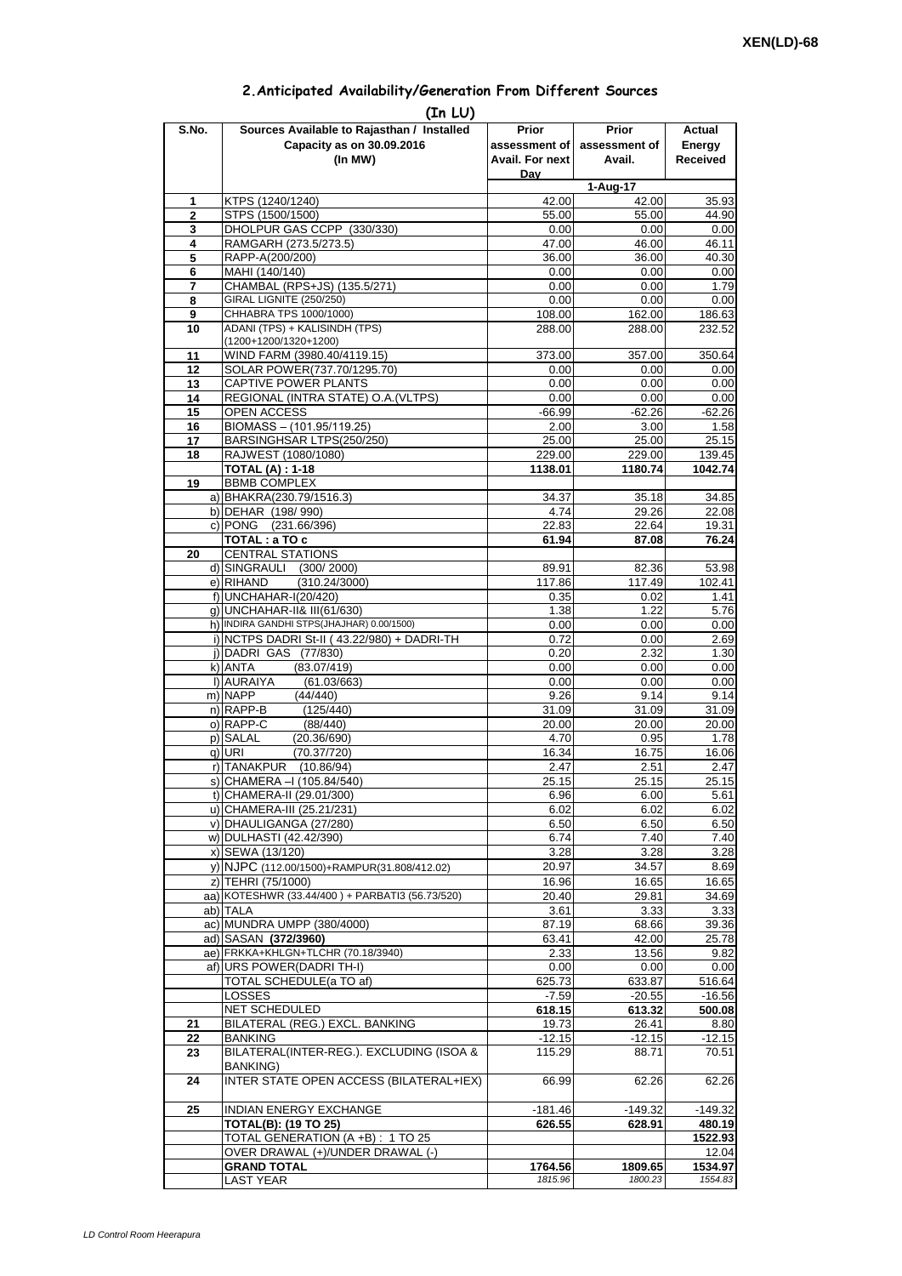| 2. Anticipated Availability/Generation From Different Sources |  |  |  |  |  |  |
|---------------------------------------------------------------|--|--|--|--|--|--|
|---------------------------------------------------------------|--|--|--|--|--|--|

| S.No.               | (In LU)<br>Sources Available to Rajasthan / Installed      | Prior            | <b>Prior</b>     | Actual           |
|---------------------|------------------------------------------------------------|------------------|------------------|------------------|
|                     | Capacity as on 30.09.2016                                  | assessment of    | assessment of    | Energy           |
|                     | (In MW)                                                    | Avail. For next  | Avail.           | <b>Received</b>  |
|                     |                                                            | Day              |                  |                  |
|                     |                                                            |                  | 1-Aug-17         |                  |
| 1<br>$\overline{2}$ | KTPS (1240/1240)<br>STPS (1500/1500)                       | 42.00<br>55.00   | 42.00<br>55.00   | 35.93<br>44.90   |
| 3                   | DHOLPUR GAS CCPP (330/330)                                 | 0.00             | 0.00             | 0.00             |
| 4                   | RAMGARH (273.5/273.5)                                      | 47.00            | 46.00            | 46.11            |
| 5                   | RAPP-A(200/200)                                            | 36.00            | 36.00            | 40.30            |
| 6                   | MAHI (140/140)                                             | 0.00             | 0.00             | 0.00             |
| 7                   | CHAMBAL (RPS+JS) (135.5/271)                               | 0.00             | 0.00             | 1.79             |
| 8<br>9              | GIRAL LIGNITE (250/250)<br>CHHABRA TPS 1000/1000)          | 0.00<br>108.00   | 0.00             | 0.00             |
| 10                  | ADANI (TPS) + KALISINDH (TPS)                              | 288.00           | 162.00<br>288.00 | 186.63<br>232.52 |
|                     | (1200+1200/1320+1200)                                      |                  |                  |                  |
| 11                  | WIND FARM (3980.40/4119.15)                                | 373.00           | 357.00           | 350.64           |
| 12                  | SOLAR POWER(737.70/1295.70)                                | 0.00             | 0.00             | 0.00             |
| 13                  | CAPTIVE POWER PLANTS                                       | 0.00             | 0.00             | 0.00             |
| 14                  | REGIONAL (INTRA STATE) O.A. (VLTPS)                        | 0.00<br>$-66.99$ | 0.00<br>$-62.26$ | 0.00             |
| 15<br>16            | OPEN ACCESS<br>BIOMASS - (101.95/119.25)                   | 2.00             | 3.00             | $-62.26$<br>1.58 |
| 17                  | BARSINGHSAR LTPS(250/250)                                  | 25.00            | 25.00            | 25.15            |
| 18                  | RAJWEST (1080/1080)                                        | 229.00           | 229.00           | 139.45           |
|                     | <b>TOTAL (A): 1-18</b>                                     | 1138.01          | 1180.74          | 1042.74          |
| 19                  | <b>BBMB COMPLEX</b>                                        |                  |                  |                  |
|                     | a) BHAKRA(230.79/1516.3)                                   | 34.37            | 35.18            | 34.85            |
|                     | b) DEHAR (198/990)                                         | 4.74             | 29.26            | 22.08            |
|                     | c) PONG (231.66/396)                                       | 22.83            | 22.64            | 19.31            |
| 20                  | TOTAL: a TO c<br><b>CENTRAL STATIONS</b>                   | 61.94            | 87.08            | 76.24            |
|                     | d) SINGRAULI<br>(300/2000)                                 | 89.91            | 82.36            | 53.98            |
|                     | e) RIHAND<br>(310.24/3000)                                 | 117.86           | 117.49           | 102.41           |
|                     | f) UNCHAHAR-I(20/420)                                      | 0.35             | 0.02             | 1.41             |
|                     | q) UNCHAHAR-II& III(61/630)                                | 1.38             | 1.22             | 5.76             |
|                     | h) INDIRA GANDHI STPS(JHAJHAR) 0.00/1500)                  | 0.00             | 0.00             | 0.00             |
|                     | i) NCTPS DADRI St-II (43.22/980) + DADRI-TH                | 0.72             | 0.00             | 2.69             |
|                     | j) DADRI GAS (77/830)                                      | 0.20             | 2.32             | 1.30             |
|                     | k) ANTA<br>(83.07/419)<br>I) AURAIYA<br>(61.03/663)        | 0.00<br>0.00     | 0.00<br>0.00     | 0.00<br>0.00     |
|                     | m) NAPP<br>(44/440)                                        | 9.26             | 9.14             | 9.14             |
|                     | n) RAPP-B<br>(125/440)                                     | 31.09            | 31.09            | 31.09            |
|                     | o) RAPP-C<br>(88/440)                                      | 20.00            | 20.00            | 20.00            |
|                     | p) SALAL<br>(20.36/690)                                    | 4.70             | 0.95             | 1.78             |
|                     | (70.37/720)<br>q) URI                                      | 16.34            | 16.75            | 16.06            |
|                     | r) TANAKPUR<br>(10.86/94)                                  | 2.47             | 2.51             | 2.47             |
|                     | S) CHAMERA –I (105.84/540)<br>t) CHAMERA-II (29.01/300)    | 25.15<br>6.96    | 25.15            | 25.15<br>5.61    |
|                     | u) CHAMERA-III (25.21/231)                                 | 6.02             | 6.00<br>6.02     | 6.02             |
|                     | v) DHAULIGANGA (27/280)                                    | 6.50             | 6.50             | 6.50             |
|                     | w) DULHASTI (42.42/390)                                    | 6.74             | 7.40             | 7.40             |
|                     | x) SEWA (13/120)                                           | 3.28             | 3.28             | 3.28             |
|                     | y) NJPC (112.00/1500)+RAMPUR(31.808/412.02)                | 20.97            | 34.57            | 8.69             |
|                     | z) TEHRI (75/1000)                                         | 16.96            | 16.65            | 16.65            |
|                     | aa) KOTESHWR (33.44/400) + PARBATI3 (56.73/520)            | 20.40            | 29.81            | 34.69            |
|                     | ab) TALA                                                   | 3.61             | 3.33             | 3.33             |
|                     | ac) MUNDRA UMPP (380/4000)<br>ad) SASAN (372/3960)         | 87.19<br>63.41   | 68.66<br>42.00   | 39.36<br>25.78   |
|                     | ae) FRKKA+KHLGN+TLCHR (70.18/3940)                         | 2.33             | 13.56            | 9.82             |
|                     | af) URS POWER(DADRI TH-I)                                  | 0.00             | 0.00             | 0.00             |
|                     | TOTAL SCHEDULE(a TO af)                                    | 625.73           | 633.87           | 516.64           |
|                     | <b>LOSSES</b>                                              | $-7.59$          | $-20.55$         | $-16.56$         |
|                     | NET SCHEDULED                                              | 618.15           | 613.32           | 500.08           |
| 21                  | BILATERAL (REG.) EXCL. BANKING                             | 19.73            | 26.41            | 8.80             |
| 22                  | <b>BANKING</b><br>BILATERAL(INTER-REG.). EXCLUDING (ISOA & | $-12.15$         | $-12.15$         | $-12.15$         |
| 23                  | <b>BANKING)</b>                                            | 115.29           | 88.71            | 70.51            |
| 24                  | INTER STATE OPEN ACCESS (BILATERAL+IEX)                    | 66.99            | 62.26            | 62.26            |
| 25                  | INDIAN ENERGY EXCHANGE                                     | $-181.46$        | $-149.32$        | -149.32          |
|                     | <b>TOTAL(B): (19 TO 25)</b>                                | 626.55           | 628.91           | 480.19           |
|                     | TOTAL GENERATION (A +B) : 1 TO 25                          |                  |                  | 1522.93          |
|                     | OVER DRAWAL (+)/UNDER DRAWAL (-)                           |                  |                  | 12.04            |
|                     | <b>GRAND TOTAL</b>                                         | 1764.56          | 1809.65          | 1534.97          |
|                     | <b>LAST YEAR</b>                                           | 1815.96          | 1800.23          | 1554.83          |